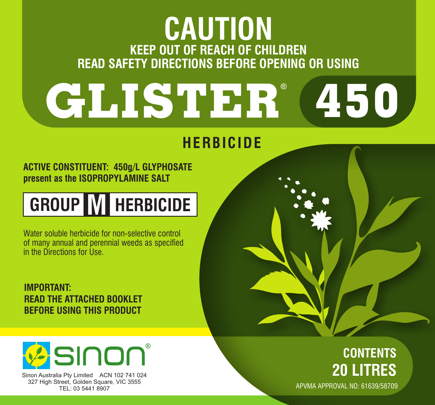# **KEEP OUT OF REACH OF CHILDREN READ SAFETY DIRECTIONS BEFORE OPENING OR USING CAUTION**

# **GLISTER 450**

# **HERBICIDE**

**ACTIVE CONSTITUENT: 450g/L GLYPHOSATE present as the ISOPROPYLAMINE SALT**



Water soluble herbicide for non-selective control of many annual and perennial weeds as specified in the Directions for Use.

**IMPORTANT: READ THE ATTACHED BOOKLET BEFORE USING THIS PRODUCT**



Sinon Australia Pty Limited ACN 102 741 024 327 High Street, Golden Square, VIC 3555 TEL: 03 5441 8907

## **CONTENTS 20 LITRES** APVMA APPROVAL NO: 61639/58709